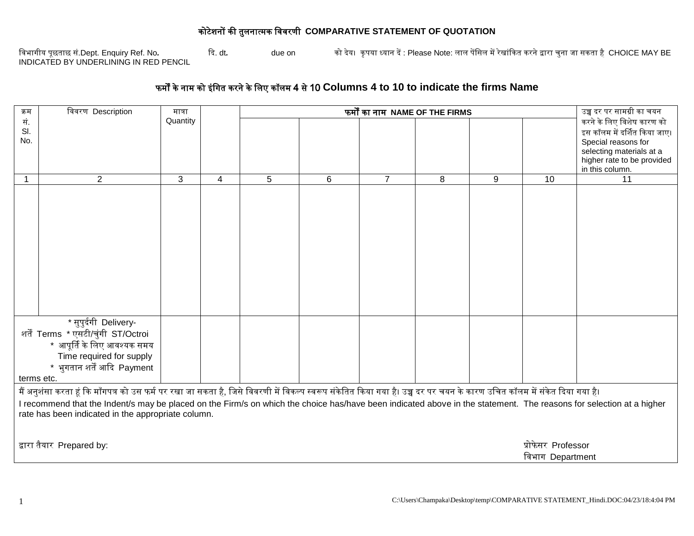## कोटेशनों की तुलनात्मक वििरणी **COMPARATIVE STATEMENT OF QUOTATION**

विभागीय पूछताछ सं.Dept. Enquiry Ref. No*.* दि. dt*.* due on को िेय। कृ पया ध्यान िें : Please Note: लाल पेंवसल मेंरेखांदकत करने द्वारा चुना जा सकता है CHOICE MAY BE विभागीय पूछताछ सं.Dept. Enquiry Ref. No.<br>INDICATED BY UNDERLINING IN RED PENCIL

## फमों के नाम को इंवगत करने के वलए कॉलम 4 से 10 **Columns 4 to 10 to indicate the firms Name**

| क्रम                                                                                                                                                                     | विवरण Description                                  | फर्मों का नाम NAME OF THE FIRMS<br>मात्रा |   |   |   |                |                  | उच्च दर पर सामग्री का चयन |    |                                               |
|--------------------------------------------------------------------------------------------------------------------------------------------------------------------------|----------------------------------------------------|-------------------------------------------|---|---|---|----------------|------------------|---------------------------|----|-----------------------------------------------|
| सं.                                                                                                                                                                      |                                                    | Quantity                                  |   |   |   |                |                  |                           |    | करने के लिए विशेष कारण को                     |
| SI.                                                                                                                                                                      |                                                    |                                           |   |   |   |                |                  |                           |    | इस कॉलम में दर्शित किया जाए।                  |
| No.                                                                                                                                                                      |                                                    |                                           |   |   |   |                |                  |                           |    | Special reasons for                           |
|                                                                                                                                                                          |                                                    |                                           |   |   |   |                |                  |                           |    | selecting materials at a                      |
|                                                                                                                                                                          |                                                    |                                           |   |   |   |                |                  |                           |    | higher rate to be provided<br>in this column. |
|                                                                                                                                                                          | $\overline{2}$                                     | 3                                         | 4 | 5 | 6 | $\overline{7}$ | 8                | 9                         | 10 | 11                                            |
|                                                                                                                                                                          |                                                    |                                           |   |   |   |                |                  |                           |    |                                               |
|                                                                                                                                                                          |                                                    |                                           |   |   |   |                |                  |                           |    |                                               |
|                                                                                                                                                                          |                                                    |                                           |   |   |   |                |                  |                           |    |                                               |
|                                                                                                                                                                          |                                                    |                                           |   |   |   |                |                  |                           |    |                                               |
|                                                                                                                                                                          |                                                    |                                           |   |   |   |                |                  |                           |    |                                               |
|                                                                                                                                                                          |                                                    |                                           |   |   |   |                |                  |                           |    |                                               |
|                                                                                                                                                                          |                                                    |                                           |   |   |   |                |                  |                           |    |                                               |
|                                                                                                                                                                          |                                                    |                                           |   |   |   |                |                  |                           |    |                                               |
|                                                                                                                                                                          |                                                    |                                           |   |   |   |                |                  |                           |    |                                               |
|                                                                                                                                                                          |                                                    |                                           |   |   |   |                |                  |                           |    |                                               |
|                                                                                                                                                                          |                                                    |                                           |   |   |   |                |                  |                           |    |                                               |
|                                                                                                                                                                          |                                                    |                                           |   |   |   |                |                  |                           |    |                                               |
|                                                                                                                                                                          |                                                    |                                           |   |   |   |                |                  |                           |    |                                               |
| * सुपुर्दगी Delivery-                                                                                                                                                    |                                                    |                                           |   |   |   |                |                  |                           |    |                                               |
| शर्तें Terms * एसटी/चुंगी ST/Octroi                                                                                                                                      |                                                    |                                           |   |   |   |                |                  |                           |    |                                               |
| * आपूर्ति के लिए आवश्यक समय                                                                                                                                              |                                                    |                                           |   |   |   |                |                  |                           |    |                                               |
|                                                                                                                                                                          | Time required for supply                           |                                           |   |   |   |                |                  |                           |    |                                               |
|                                                                                                                                                                          | * भुगतान शर्तें आदि Payment                        |                                           |   |   |   |                |                  |                           |    |                                               |
|                                                                                                                                                                          |                                                    |                                           |   |   |   |                |                  |                           |    |                                               |
| terms etc.                                                                                                                                                               |                                                    |                                           |   |   |   |                |                  |                           |    |                                               |
| मैं अनुशंसा करता हूं कि माँगपत्र को उस फर्म पर रखा जा सकता है, जिसे विवरणी में विकल्प स्वरूप संकेति किया गया है। उच्च दर पर चयन के कारण उचित कॉलम में संकेत दिया गया है। |                                                    |                                           |   |   |   |                |                  |                           |    |                                               |
| I recommend that the Indent/s may be placed on the Firm/s on which the choice has/have been indicated above in the statement. The reasons for selection at a higher      |                                                    |                                           |   |   |   |                |                  |                           |    |                                               |
|                                                                                                                                                                          | rate has been indicated in the appropriate column. |                                           |   |   |   |                |                  |                           |    |                                               |
|                                                                                                                                                                          |                                                    |                                           |   |   |   |                |                  |                           |    |                                               |
|                                                                                                                                                                          |                                                    |                                           |   |   |   |                |                  |                           |    |                                               |
| द्वारा तैयार Prepared by:<br>प्रोफेसर Professor                                                                                                                          |                                                    |                                           |   |   |   |                |                  |                           |    |                                               |
|                                                                                                                                                                          |                                                    |                                           |   |   |   |                | विभाग Department |                           |    |                                               |